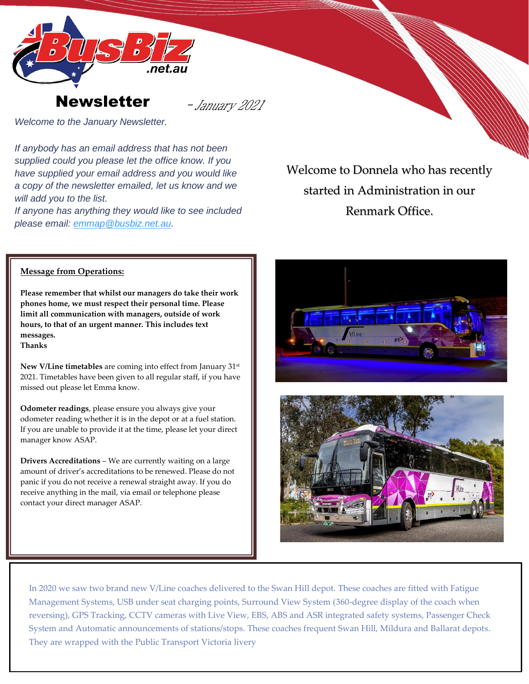



- January 2021

*Welcome to the January Newsletter.*

*If anybody has an email address that has not been supplied could you please let the office know. If you have supplied your email address and you would like a copy of the newsletter emailed, let us know and we will add you to the list.*

*If anyone has anything they would like to see included please email: [emmap@busbiz.net.au.](mailto:emmap@busbiz.net.au)*

Welcome to Donnela who has recently started in Administration in our Renmark Office.

## **Message from Operations:**

**Please remember that whilst our managers do take their work phones home, we must respect their personal time. Please limit all communication with managers, outside of work hours, to that of an urgent manner. This includes text messages.** 

**Thanks**

**New V/Line timetables** are coming into effect from January 31st 2021. Timetables have been given to all regular staff, if you have missed out please let Emma know.

**Odometer readings**, please ensure you always give your odometer reading whether it is in the depot or at a fuel station. If you are unable to provide it at the time, please let your direct manager know ASAP.

**Drivers Accreditations** – We are currently waiting on a large amount of driver's accreditations to be renewed. Please do not panic if you do not receive a renewal straight away. If you do receive anything in the mail, via email or telephone please contact your direct manager ASAP.





In 2020 we saw two brand new V/Line coaches delivered to the Swan Hill depot. These coaches are fitted with Fatigue Management Systems, USB under seat charging points, Surround View System (360-degree display of the coach when reversing), GPS Tracking, CCTV cameras with Live View, EBS, ABS and ASR integrated safety systems, Passenger Check System and Automatic announcements of stations/stops. These coaches frequent Swan Hill, Mildura and Ballarat depots. They are wrapped with the Public Transport Victoria livery